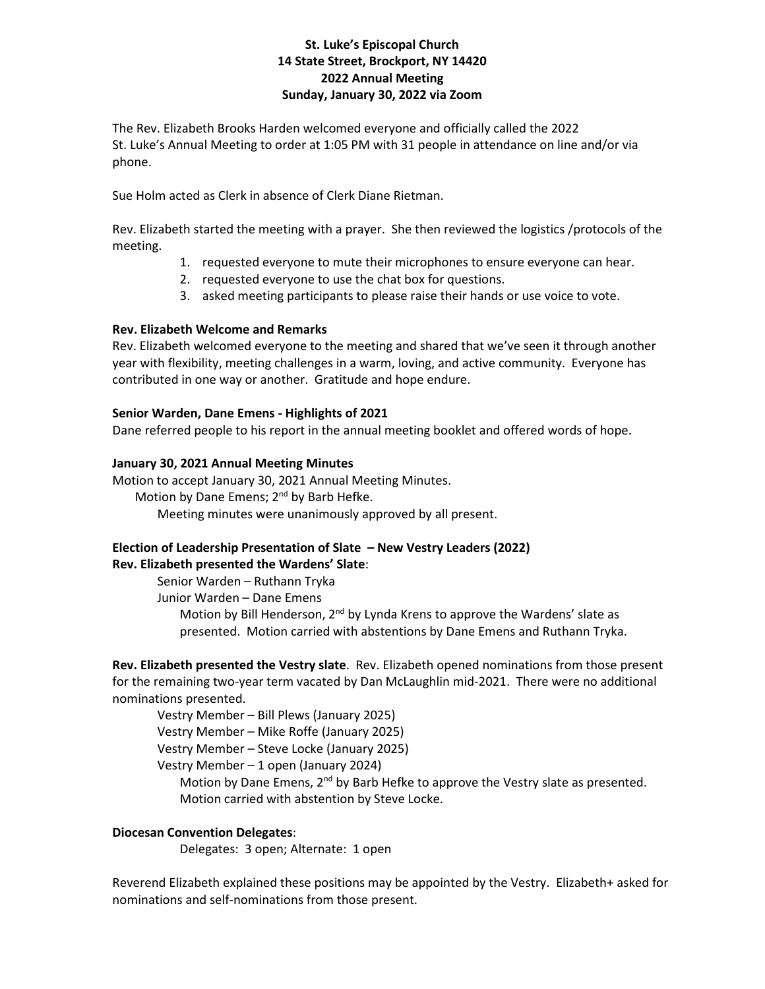# **St. Luke's Episcopal Church 14 State Street, Brockport, NY 14420 2022 Annual Meeting Sunday, January 30, 2022 via Zoom**

The Rev. Elizabeth Brooks Harden welcomed everyone and officially called the 2022 St. Luke's Annual Meeting to order at 1:05 PM with 31 people in attendance on line and/or via phone.

Sue Holm acted as Clerk in absence of Clerk Diane Rietman.

Rev. Elizabeth started the meeting with a prayer. She then reviewed the logistics /protocols of the meeting.

- 1. requested everyone to mute their microphones to ensure everyone can hear.
- 2. requested everyone to use the chat box for questions.
- 3. asked meeting participants to please raise their hands or use voice to vote.

## **Rev. Elizabeth Welcome and Remarks**

Rev. Elizabeth welcomed everyone to the meeting and shared that we've seen it through another year with flexibility, meeting challenges in a warm, loving, and active community. Everyone has contributed in one way or another. Gratitude and hope endure.

## **Senior Warden, Dane Emens - Highlights of 2021**

Dane referred people to his report in the annual meeting booklet and offered words of hope.

## **January 30, 2021 Annual Meeting Minutes**

Motion to accept January 30, 2021 Annual Meeting Minutes. Motion by Dane Emens; 2<sup>nd</sup> by Barb Hefke. Meeting minutes were unanimously approved by all present.

## **Election of Leadership Presentation of Slate – New Vestry Leaders (2022) Rev. Elizabeth presented the Wardens' Slate**:

Senior Warden – Ruthann Tryka

Junior Warden – Dane Emens

Motion by Bill Henderson, 2<sup>nd</sup> by Lynda Krens to approve the Wardens' slate as presented. Motion carried with abstentions by Dane Emens and Ruthann Tryka.

**Rev. Elizabeth presented the Vestry slate**. Rev. Elizabeth opened nominations from those present for the remaining two-year term vacated by Dan McLaughlin mid-2021. There were no additional nominations presented.

Vestry Member – Bill Plews (January 2025)

Vestry Member – Mike Roffe (January 2025)

Vestry Member – Steve Locke (January 2025)

Vestry Member – 1 open (January 2024)

Motion by Dane Emens, 2<sup>nd</sup> by Barb Hefke to approve the Vestry slate as presented. Motion carried with abstention by Steve Locke.

# **Diocesan Convention Delegates**:

Delegates: 3 open; Alternate: 1 open

Reverend Elizabeth explained these positions may be appointed by the Vestry. Elizabeth+ asked for nominations and self-nominations from those present.